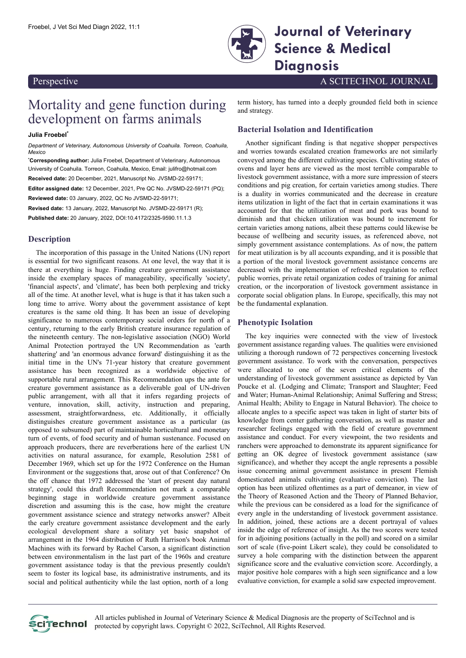

Froebel, J Vet Sci Med Diagn 2022, 11:1 **Journal of Veterinary Science & Medical Diagnosis**

Perspective A SCITECHNOL JOURNAL

# Mortality and gene function during development on farms animals

**Julia Froebel\***

*Department of Veterinary, Autonomous University of Coahuila. Torreon, Coahuila, Mexico*

**\*Corresponding author:** Julia Froebel, Department of Veterinary, Autonomous University of Coahuila. Torreon, Coahuila, Mexico, Email: [julifro@hotmail.com](mailto:julifro@hotmail.com) **Received date:** 20 December, 2021, Manuscript No. JVSMD-22-59171;

**Editor assigned date:** 12 December, 2021, Pre QC No. JVSMD-22-59171 (PQ); **Reviewed date:** 03 January, 2022, QC No JVSMD-22-59171;

**Revised date:** 13 January, 2022, Manuscript No. JVSMD-22-59171 (R); **Published date:** 20 January, 2022, DOI:10.4172/2325-9590.11.1.3

# **Description**

The incorporation of this passage in the United Nations (UN) report is essential for two significant reasons. At one level, the way that it is there at everything is huge. Finding creature government assistance inside the exemplary spaces of manageability, specifically 'society', 'financial aspects', and 'climate', has been both perplexing and tricky all of the time. At another level, what is huge is that it has taken such a long time to arrive. Worry about the government assistance of kept creatures is the same old thing. It has been an issue of developing significance to numerous contemporary social orders for north of a century, returning to the early British creature insurance regulation of the nineteenth century. The non-legislative association (NGO) World Animal Protection portrayed the UN Recommendation as 'earth shattering' and 'an enormous advance forward' distinguishing it as the initial time in the UN's 71-year history that creature government assistance has been recognized as a worldwide objective of supportable rural arrangement. This Recommendation ups the ante for creature government assistance as a deliverable goal of UN-driven public arrangement, with all that it infers regarding projects of venture, innovation, skill, activity, instruction and preparing, assessment, straightforwardness, etc. Additionally, it officially distinguishes creature government assistance as a particular (as opposed to subsumed) part of maintainable horticultural and monetary turn of events, of food security and of human sustenance. Focused on approach producers, there are reverberations here of the earliest UN activities on natural assurance, for example, Resolution 2581 of December 1969, which set up for the 1972 Conference on the Human Environment or the suggestions that, arose out of that Conference? On the off chance that 1972 addressed the 'start of present day natural strategy', could this draft Recommendation not mark a comparable beginning stage in worldwide creature government assistance discretion and assuming this is the case, how might the creature government assistance science and strategy networks answer? Albeit the early creature government assistance development and the early ecological development share a solitary yet basic snapshot of arrangement in the 1964 distribution of Ruth Harrison's book Animal Machines with its forward by Rachel Carson, a significant distinction between environmentalism in the last part of the 1960s and creature government assistance today is that the previous presently couldn't seem to foster its logical base, its administrative instruments, and its social and political authenticity while the last option, north of a long

term history, has turned into a deeply grounded field both in science and strategy.

## **Bacterial Isolation and Identification**

Another significant finding is that negative shopper perspectives and worries towards escalated creation frameworks are not similarly conveyed among the different cultivating species. Cultivating states of ovens and layer hens are viewed as the most terrible comparable to livestock government assistance, with a more sure impression of steers conditions and pig creation, for certain varieties among studies. There is a duality in worries communicated and the decrease in creature items utilization in light of the fact that in certain examinations it was accounted for that the utilization of meat and pork was bound to diminish and that chicken utilization was bound to increment for certain varieties among nations, albeit these patterns could likewise be because of wellbeing and security issues, as referenced above, not simply government assistance contemplations. As of now, the pattern for meat utilization is by all accounts expanding, and it is possible that a portion of the moral livestock government assistance concerns are decreased with the implementation of refreshed regulation to reflect public worries, private retail organization codes of training for animal creation, or the incorporation of livestock government assistance in corporate social obligation plans. In Europe, specifically, this may not be the fundamental explanation.

## **Phenotypic Isolation**

The key inquiries were connected with the view of livestock government assistance regarding values. The qualities were envisioned utilizing a thorough rundown of 72 perspectives concerning livestock government assistance. To work with the conversation, perspectives were allocated to one of the seven critical elements of the understanding of livestock government assistance as depicted by Van Poucke et al. (Lodging and Climate; Transport and Slaughter; Feed and Water; Human-Animal Relationship; Animal Suffering and Stress; Animal Health; Ability to Engage in Natural Behavior). The choice to allocate angles to a specific aspect was taken in light of starter bits of knowledge from center gathering conversation, as well as master and researcher feelings engaged with the field of creature government assistance and conduct. For every viewpoint, the two residents and ranchers were approached to demonstrate its apparent significance for getting an OK degree of livestock government assistance (saw significance), and whether they accept the angle represents a possible issue concerning animal government assistance in present Flemish domesticated animals cultivating (evaluative conviction). The last option has been utilized oftentimes as a part of demeanor, in view of the Theory of Reasoned Action and the Theory of Planned Behavior, while the previous can be considered as a load for the significance of every angle in the understanding of livestock government assistance. In addition, joined, these actions are a decent portrayal of values inside the edge of reference of insight. As the two scores were tested for in adjoining positions (actually in the poll) and scored on a similar sort of scale (five-point Likert scale), they could be consolidated to survey a hole comparing with the distinction between the apparent significance score and the evaluative conviction score. Accordingly, a major positive hole compares with a high seen significance and a low evaluative conviction, for example a solid saw expected improvement.